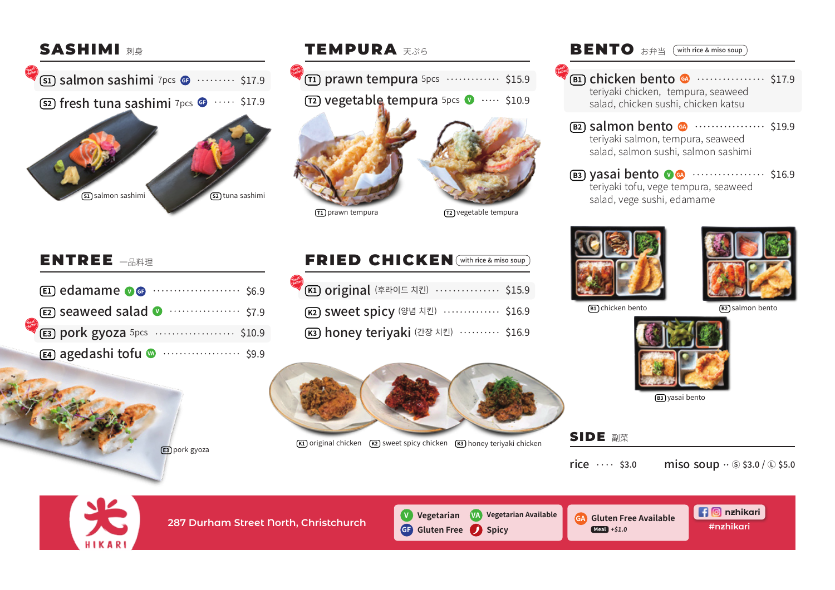**B1) Chicken bento**  $\bullet \quad \cdots \quad \cdots \quad \mathsf{S17.9}$ teriyaki chicken, tempura, seaweed salad, chicken sushi, chicken katsu

**B3) yasai bento O ®** ··························· \$16.9 teriyaki tofu, vege tempura, seaweed salad, vege sushi, edamame



salmon bento \$19.9 **B2** teriyaki salmon, tempura, seaweed salad, salmon sushi, salmon sashimi

> **nzhikari #nzhikari**

### **287 Durham Street North, Christchurch** SIDE 副菜 **BENTO** お弁当 (with rice & miso soup **GA Gluten Free Available Spicy Meal +\$1.0 GF Gluten Free V Vegetarian VA Vegetarian Available** edamame **E1** \$6.9 **E2) seaweed salad Committee State State State State State State State State State State State State State State** pork gyoza 5pcs **E3** \$10.9 agedashi tofu **E4** \$9.9 **II) prawn tempura** 5pcs ………… \$15.9 **r2) vegetable tempura** 5pcs  $\bullet$  …… \$10.9 **s1) Salmon sashimi** 7pcs **G3** ......... \$17.9 **s2) fresh tuna sashimi** 7pcs **G** ····· \$17.9 <mark>K1) Original</mark> (후라이드 치킨) ················ \$15.9 sweet spicy (양념 치킨) \$16.9 **K2** <mark>K3) honey teriyaki</mark> (간장 치킨) ·········· \$16.9 **SASHIMI 刺身** ENTREE  $-$ B料理 FRIED CHICKEN (with rice & miso soup TEMPURA 天ぷら **S1** salmon sashimi **S2** tuna sashimi **E3** pork gyoza [T2] vegetable tempura **K1)** original chicken **(K2)** sweet spicy chicken **(K3)** honey teriyaki chicken **T1 prawn tempura**  $(B1)$  chicken bento **Best Seller Best Seller Best Seller Best Seller Best Seller**







**<sub>B3</sub>)** yasai bento

rice  $\cdots$  \$3.0 miso soup  $\cdot$  \$3.0 /  $\odot$  \$5.0